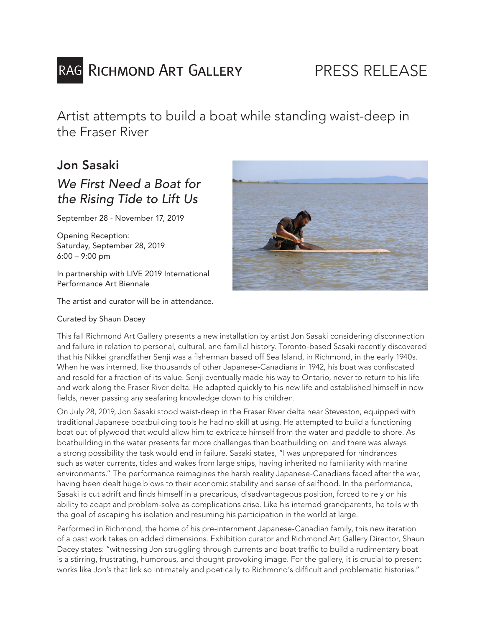# RAG RICHMOND ART GALLERY

Artist attempts to build a boat while standing waist-deep in the Fraser River

### Jon Sasaki

## *We First Need a Boat for the Rising Tide to Lift Us*

September 28 - November 17, 2019

Opening Reception: Saturday, September 28, 2019 6:00 – 9:00 pm

In partnership with LIVE 2019 International Performance Art Biennale

The artist and curator will be in attendance.

#### Curated by Shaun Dacey



This fall Richmond Art Gallery presents a new installation by artist Jon Sasaki considering disconnection and failure in relation to personal, cultural, and familial history. Toronto-based Sasaki recently discovered that his Nikkei grandfather Senji was a fisherman based off Sea Island, in Richmond, in the early 1940s. When he was interned, like thousands of other Japanese-Canadians in 1942, his boat was confiscated and resold for a fraction of its value. Senji eventually made his way to Ontario, never to return to his life and work along the Fraser River delta. He adapted quickly to his new life and established himself in new fields, never passing any seafaring knowledge down to his children.

On July 28, 2019, Jon Sasaki stood waist-deep in the Fraser River delta near Steveston, equipped with traditional Japanese boatbuilding tools he had no skill at using. He attempted to build a functioning boat out of plywood that would allow him to extricate himself from the water and paddle to shore. As boatbuilding in the water presents far more challenges than boatbuilding on land there was always a strong possibility the task would end in failure. Sasaki states, "I was unprepared for hindrances such as water currents, tides and wakes from large ships, having inherited no familiarity with marine environments." The performance reimagines the harsh reality Japanese-Canadians faced after the war, having been dealt huge blows to their economic stability and sense of selfhood. In the performance, Sasaki is cut adrift and finds himself in a precarious, disadvantageous position, forced to rely on his ability to adapt and problem-solve as complications arise. Like his interned grandparents, he toils with the goal of escaping his isolation and resuming his participation in the world at large.

Performed in Richmond, the home of his pre-internment Japanese-Canadian family, this new iteration of a past work takes on added dimensions. Exhibition curator and Richmond Art Gallery Director, Shaun Dacey states: "witnessing Jon struggling through currents and boat traffic to build a rudimentary boat is a stirring, frustrating, humorous, and thought-provoking image. For the gallery, it is crucial to present works like Jon's that link so intimately and poetically to Richmond's difficult and problematic histories."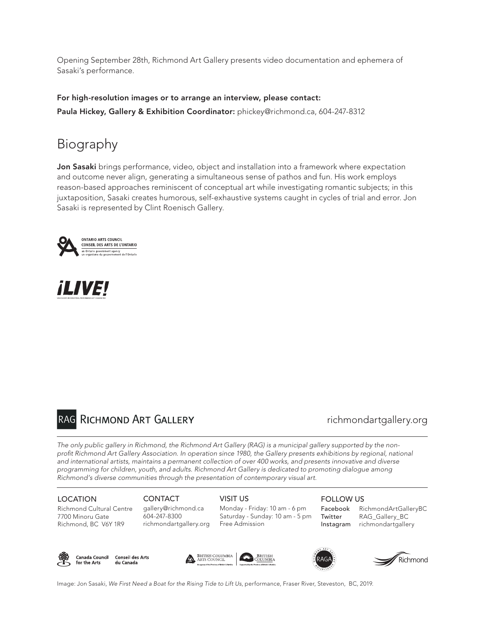Opening September 28th, Richmond Art Gallery presents video documentation and ephemera of Sasaki's performance.

For high-resolution images or to arrange an interview, please contact: Paula Hickey, Gallery & Exhibition Coordinator: phickey@richmond.ca, 604-247-8312

# Biography

Jon Sasaki brings performance, video, object and installation into a framework where expectation and outcome never align, generating a simultaneous sense of pathos and fun. His work employs reason-based approaches reminiscent of conceptual art while investigating romantic subjects; in this juxtaposition, Sasaki creates humorous, self-exhaustive systems caught in cycles of trial and error. Jon Sasaki is represented by Clint Roenisch Gallery.







### richmondartgallery.org

*The only public gallery in Richmond, the Richmond Art Gallery (RAG) is a municipal gallery supported by the nonprofit Richmond Art Gallery Association. In operation since 1980, the Gallery presents exhibitions by regional, national and international artists, maintains a permanent collection of over 400 works, and presents innovative and diverse programming for children, youth, and adults. Richmond Art Gallery is dedicated to promoting dialogue among Richmond's diverse communities through the presentation of contemporary visual art.*

#### LOCATION

Richmond Cultural Centre 7700 Minoru Gate Richmond, BC V6Y 1R9

#### **CONTACT**

gallery@richmond.ca 604-247-8300 richmondartgallery.org VISIT US Monday - Friday: 10 am - 6 pm Saturday - Sunday: 10 am - 5 pm Free Admission

### FOLLOW US

Facebook RichmondArtGalleryBC Twitter RAG\_Gallery\_BC Instagram richmondartgallery



Canada Council Conseil des Arts for the Arts du Canada







Image: Jon Sasaki, *We First Need a Boat for the Rising Tide to Lift Us*, performance, Fraser River, Steveston, BC, 2019.